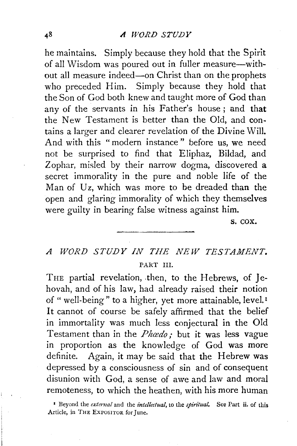he maintains. Simply because they hold that the Spirit of all Wisdom was poured out in fuller measure-without all measure indeed-on Christ than on the prophets who preceded Him. Simply because they hold that the Son of God both knew and taught more of God than any of the servants in his Father's house; and **that**  the New Testament is better than the Old, and contains a larger and clearer revelation of the Divine Will. And with this " modern instance " before us, we need not be surprised to find that Eliphaz, Bildad, and Zophar, misled by their narrow dogma, discovered a secret immorality in the pure and noble life of the Man of Uz, which was more to be dreaded than the open and glaring immorality of which they themselves were guilty in bearing false witness against him.

s. cox.

## *A WORD STUDY IN THE NEW TESTAMENT.*  PART III.

THE partial revelation, then, to the Hebrews, of Jehovah, and of his law, had already raised their notion of " well-being" to a higher, yet more attainable, level.<sup>1</sup> It cannot of course be safely affirmed that the belief in immortality was much less conjectural in the Old Testament than in the *Phœdo*; but it was less vague in proportion as the knowledge of God was more definite. Again, it may be said that the Hebrew was depressed by a consciousness of sin and of consequent disunion with God, a sense of awe and law and moral remoteness, to which the heathen, with his more human

<sup>1</sup>Beyond the *extemal* and the *intellectual,* to the *spiritual.* See Part ii. of this Article, in THE EXPOSITOR for June.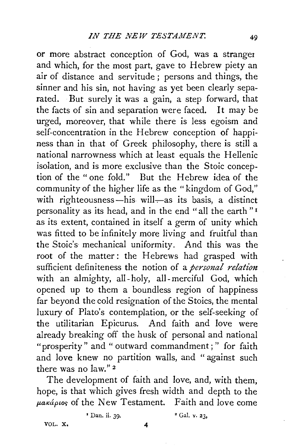or more abstract conception of God, was a stranger and which, for the most part, gave to Hebrew piety an air of distance and servitude; persons and things, the sinner and his sin, not having as yet been clearly separated. But surely it was a gain, a step forward, that the facts of sin and separation were faced. It may be urged, moreover, that while there is less egoism and self-concentration in the Hebrew conception of happiness than in that of Greek philosophy, there is still a national narrowness which at least equals the Hellenic isolation, and is more exclusive than the Stoic conception of the "one fold." But the Hebrew idea of the community of the higher life as the "kingdom of God," with righteousness—his will—as its basis, a distinct personality as its head, and in the end "all the earth " <sup>1</sup> as its extent, contained in itself a germ of unity which was fitted to be infinitely more living and fruitful than the Stoic's mechanical uniformity. And this was the root of the matter: the Hebrews had grasped with sufficient definiteness the notion of a *personal relation*  with an almighty, all-holy, all-merciful God, which opened up to them a boundless region of happiness far beyond the cold resignation of the Stoics, the mental luxury of Plato's contemplation, or the self-seeking of the utilitarian Epicurus. And faith and love were already breaking off the husk of personal and national "prosperity" and " outward commandment; " for faith and love knew no partition walls, and " against such there was no Jaw." 2

The development of faith and love, and, with them, hope, is that which gives fresh width and depth to the  $\mu$ aká $\rho$ ios of the New Testament. Faith and love come

VOL. X. 4

 $\frac{1}{2}$  Dan. ii. 39.  $\frac{1}{2}$  Gal. v. 23.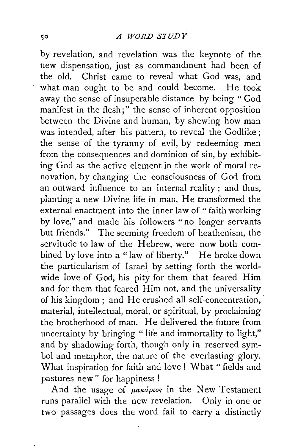by revelation, and revelation was the keynote of the new dispensation, just as commandment had been of the old. Christ came to reveal what God was, and what man ought to be and could become. He took away the sense of insuperable distance by being "God manifest in the flesh;" the sense of inherent opposition between the Divine and human, by shewing how man was intended, after his pattern, to reveal the Godlike; the sense of the tyranny of evil, by redeeming men from the consequences and dominion of sin, by exhibiting God as the active element in the work of moral renovation, by changing the consciousness of God from an outward influence to an internal reality ; and thus, planting a new Divine life in man, He transformed the external enactment into the inner law of " faith working by love," and made his followers " no longer servants but friends." The seeming freedom of heathenism, the servitude to law of the Hebrew, were now both combined by love into a "law of liberty." He broke down the particularism of Israel by setting forth the worldwide love of God, his pity for them that feared Him and for them that feared Him not, and the universality of his kingdom; and He crushed all self-concentration, material, intellectual, moral, or spiritual, by proclaiming the brotherhood of man. He delivered the future from uncertainty by bringing " life and immortality to light," and by shadowing forth, though only in reserved symbol and metaphor, the nature of the everlasting glory. What inspiration for faith and love ! What " fields and pastures new" for happiness !

And the usage of  $\mu$ akápios in the New Testament runs parallel with the new revelation. Only in one or two passages does the word fail to carry a distinctly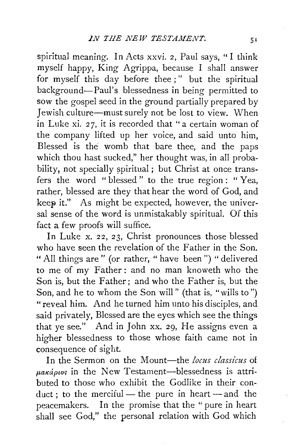spiritual meaning. In Acts xxvi. 2, Paul says, "I think myself happy, King Agrippa, because I shall answer for myself this day before thee ; " but the spiritual background-Paul's blessedness in being permitted to sow the gospel seed in the ground partially prepared by Jewish culture-must surely not be lost to view. When in Luke xi. 27, it is recorded that "a certain woman of the company lifted up her voice, and said unto him, Blessed is the womb that bare thee, and the paps which thou hast sucked," her thought was, in all probability, not specially spiritual; but Christ at once transfers the word " blessed " to the true region : " Yea, rather, blessed are they that hear the word of God, and keep it." As might be expected, however, the universal sense of the word is unmistakably spiritual. Of this fact a few proofs will suffice.

In Luke x. 22, 23, Christ pronounces those blessed who have seen the revelation of the Father in the Son. "All things are" (or rather, "have been") "delivered to me of my Father : and no man knoweth who the Son is, but the Father; and who the Father is, but the Son, and he to whom the Son will" (that is, "wills to") "reveal him. And he turned him unto his disciples, and said privately, Blessed are the eyes which see the things that ye see." And in John xx. 29, He assigns even a higher blessedness to those whose faith came not in consequence of sight.

In the Sermon on the Mount-the *locus classicus* of  $\mu$ aká $\rho$ ios in the New Testament-blessedness is attributed to those who exhibit the Godlike in their conduct; to the merciful — the pure in heart — and the peacemakers. In the promise that the "pure in heart shall see God," the personal relation with God which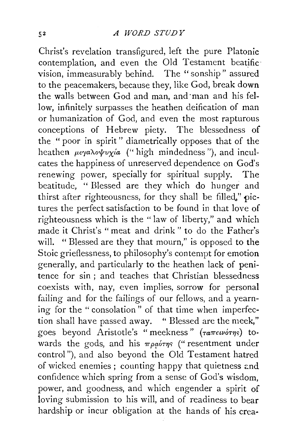Christ's revelation transfigured, left the pure Platonic contemplation, and even the Old Testament beatific vision, immeasurably behind. The '' sonship" assured to the peacemakers, because they, like God, break down the walls between God and man, and ·man and his fellow, infinitely surpasses the heathen deification of man or humanization of God, and even the most rapturous conceptions of Hebrew piety. The blessedness of the " poor in spirit " diametrically opposes that of the heathen  $\mu \in \gamma a \lambda o \psi v \chi/a$  (" high mindedness"), and inculcates the happiness of unreserved dependence on God's renewing power, specially for spiritual supply. The beatitude, "Blessed are they which do hunger and thirst after righteousness, for they shall be filled,"  $\pi$ ictures the perfect satisfaction to be found in that love of righteousness which is the "law of liberty," and which made it Christ's "meat and drink" to do the Father's will. " Blessed are they that mourn," is opposed to **the**  Stoic grieflessness, to philosophy's contempt for emotion generally, and particularly to the heathen lack of penitence for sin ; and teaches that Christian blessedness coexists with, nay, even implies, sorrow for personal failing and for the failings of our fellows, and a yearning for the "consolation" of that time when imperfection shall have passed away. " Blessed are the meek," goes beyond Aristotle's "meekness"  $(\tau a \pi \epsilon \nu \dot{\sigma} \eta s)$  towards the gods, and his  $\pi \rho \phi \gamma \eta s$  ("resentment under control"), and also beyond the Old Testament hatred of wicked enemies; counting happy that quietness and confidence which spring from a sense of God's wisdom, power, and goodness, and which engender a spirit of loving submission to his will, and of readiness to bear hardship or incur obligation at the hands of his crea·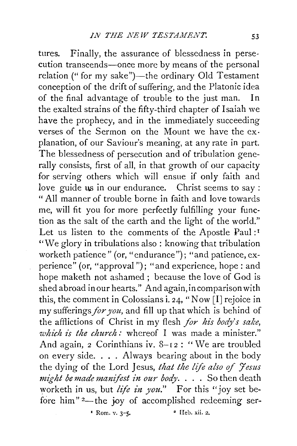tures. Finally, the assurance of blessedness in perse· cution transcends-once more by means of the personal relation (" for my sake")—the ordinary Old Testament conception of the drift of suffering, and the Platonic idea of the final advantage of trouble to the just man. In the exalted strains of the fifty-third chapter of Isaiah we have the prophecy, and in the immediately succeeding verses of the Sermon on the Mount we have the explanation, of our Saviour's meaning, at any rate in part. The blessedness of persecution and of tribulation generally consists, first of all, in that growth of our capacity for serving others which will ensue if only faith and love guide us in our endurance. Christ seems to say : "All manner of trouble borne in faith and love towards me, will fit you for more perfectly fulfilling your function as the salt of the earth and the light of the world." Let us listen to the comments of the Apostle Paul :<sup>1</sup> ''We glory in tribulations also: knowing that tribulation worketh patience" (or, "endurance"); "and patience, experience" (or, "approval "); "and experience, hope : and hope maketh not ashamed ; because the love of God is shed abroad in our hearts." And again, in comparison with this, the comment in Colossians i. 24, "Now [I] rejoice in my sufferings.for *you,* and fill up that which is behind of the afflictions of Christ in my flesh *for his body's sake*, *which is the church:* whereof I was made a minister." And again, 2 Corinthians iv. 8-12 : "We are troubled on every side.  $\ldots$  Always bearing about in the body the dying of the Lord Jesus, *that the life also of 'fesus might be made manifest in our body.* . . . So then death worketh in us, but *life in you*." For this "joy set before him"<sup>2</sup>—the joy of accomplished redeeming ser-

• Rom. v. *3-5.* • Heb. xii. 2.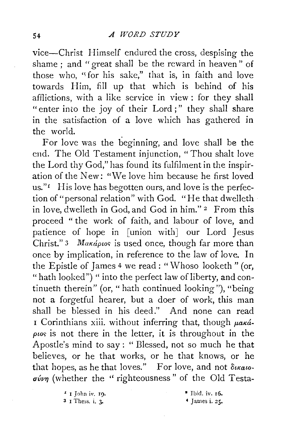vice-Christ Himself endured the cross, despising the shame ; and " great shall be the reward in heaven " of those who, "for his sake," that is, in faith and love towards Him, fill up that which is behind of his afflictions, with a like service in view : for they shall "enter into the joy of their Lord;" they shall share in the satisfaction of a love which has gathered in the world.

For love was the beginning, and love shall be the end. The Old Testament injunction, "Thou shalt love the Lord thy God," has found its fulfilment in the inspiration of the New: "We love him because he first loved us."<sup>*1*</sup> His love has begotten ours, and love is the perfection of "personal relation" with God. "He that dwelleth in love, dwelleth in God, and God in him." 2 From this proceed " the work of faith, and labour of love, and patience of hope in [union with] our Lord Jesus Christ." 3 *Makapus* is used once, though far more than once by implication, in reference to the law of love. In the Epistle of *]* ames 4 we read : "Whoso looketh " (or, "hath looked") " into the perfect law of liberty, and continueth therein" (or, " hath continued looking"), "being not a forgetful hearer, but a doer of work, this man shall be blessed in his deed." And none can read I Corinthians xiii. without inferring that, though  $\mu$ aká $p\omega s$  is not there in the letter, it is throughout in the Apostle's mind to say: "Blessed, not so much he that believes, or he that works, or he that knows, or he that hopes, as he that loves." For love, and not  $\delta_{\text{l}}$  $\sigma \psi \eta$  (whether the "righteousness" of the Old Testa-

> *'* I John iv. I9. 3 I Thess. i. 3·

• Ibid. iv. r6.  $4$  James i.  $25$ .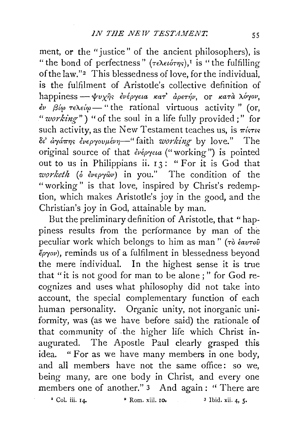ment, or the "justice" of the ancient philosophers), is " the bond of perfectness"  $(\tau \in \lambda \in \iota \sigma \tau \eta_S)$ , is "the fulfilling" of the law."<sup>2</sup> This blessedness of love, for the individual, is the fulfilment of Aristotle's collective definition of happiness - ψυχής ένέργεια κατ' άρετήν, or κατά λόγον,  $\frac{\partial v}{\partial \theta}$   $\frac{\partial \phi}{\partial \theta}$   $\frac{\partial \phi}{\partial \theta}$  = "the rational virtuous activity" (or, *"working")* "of the soul in a life fully provided;" for such activity, as the New Testament teaches us, is  $\pi i$ <sup>s</sup> $\pi i$ <sup>s</sup> *ot' &rya7r?J'> €v£pryovt-tf.v?J-"* faith *working* by love." The original source of that *€v€pry<la* ("working") is pointed out to us in Philippians ii. 13: "For it is God that *worketh* (δ *ενεργ*ών) in you." The condition of the "working" is that love, inspired by Christ's redemption, which makes Aristotle's joy in the good, and the Christian's joy in God, attainable by man.

But the preliminary definition of Aristotle, that "happiness results from the performance by man of the peculiar work which belongs to him as man " *(To €avTou €pryov),* reminds us of a fulfilment in blessedness beyond the mere individual. In the highest sense it is true that "it is not good for man to be alone ; " for God recognizes and uses what philosophy did not take into account, the special complementary function of each human personality. Organic unity, not inorganic uniformity, was (as we have before said) the rationale of that community of . the higher life which Christ inaugurated. The Apostle Paul clearly grasped this idea. " For as we have many members in one body, and all members have not the same office: so we, being many, are one body in Christ, and every one members one of another." 3 And again: "There are  $1 \text{ Col. iii. 14.}$   $2 \text{ Rom. xiii. 10.}$   $3 \text{ Ibid. xii. 4, 5.}$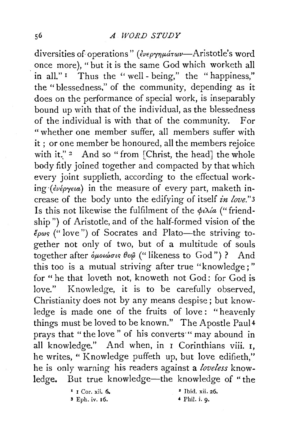diversities of operations" ( *€vep'Y1Jf.ULTwv-Aristotle's* word once more), "but it is the same God which worketh all in all."<sup>1</sup> Thus the "well-being," the "happiness." the "blessedness," of the community, depending as it does on the performance of special work, is inseparably bound up with that of the individual, as the blessedness of the individual is with that of the community. For "whether one member suffer, all members suffer with it ; or one member be honoured, all the members rejoice with it." <sup>2</sup> And so " from [Christ, the head] the whole body fitly joined together and compacted by that which every joint supplieth, according to the effectual work*ing (ενέργεια)* in the measure of every part, maketh increase of the body unto the edifying of itself *in love."3*  Is this not likewise the fulfilment of the  $\phi \lambda/a$  ("friendship") of Aristotle, and of the half-formed vision of the *€pwc;* ("love") of Socrates and Plato-the striving together not only of two, but of a multitude of souls together after  $\delta\mu\omega\omega\sigma\kappa\theta\epsilon\hat{\omega}$  (" likeness to God") ? And this too is a mutual striving after true "knowledge;" for " he that loveth not, knoweth not God: for God is love." Knowledge, it is to be carefully observed, Christianity does not by any means despise; but knowledge is made one of the fruits of love: "heavenly things must be loved to be known." The Apostle Paul4 prays that "the love" of his converts "may abound in all knowledge." And when, in I Corinthians viii. I, he writes, " Knowledge puffeth up, but love edifieth," he is only warning his readers against a *loveless* knowledge. But true knowledge-the knowledge of "the

• I Cor. xii. 6.

3 Eph. iv. 16.

• Ibid. xii. 26.

4 Phil. i. 9·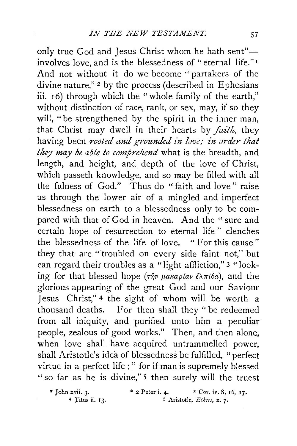only true God and Jesus Christ whom he hath sent"involves love, and is the blessedness of "eternal life."<sup>1</sup> And not without it do we become " partakers of the divine nature,"<sup>2</sup> by the process (described in Ephesians iii. 16) through which the "whole family of the earth," without distinction of race, rank, or sex, may, if so they will, "be strengthened by the spirit in the inner man, that Christ may dwell in their hearts by *faith,* they having been *rooted and grounded in love; in order that they may be able to comprehend* what is the breadth, and length, and height, and depth of the love of Christ, which passeth knowledge, and so may be filled with all the fulness of God." Thus do "faith and love" raise us through the lower air of a mingled and imperfect blessedness on earth to a blessedness only to be compared with that of God in heaven. And the "sure and certain hope of resurrection to eternal life " clenches the blessedness of the life of love. " For this cause " they that are "troubled on every side faint not," but can regard their troubles as a "light affliction," 3 "looking for that blessed hope (την μακαρίαν έλπίδα), and the glorious appearing of the great God and our Saviour Jesus Christ," 4 the sight of whom will be worth a thousand deaths. For then shall they "be redeemed from all iniquity, and purified unto him a peculiar people, zealous of good works." Then, and then alone, when love shall have acquired untrammelled power, shall Aristotle's idea of blessedness be fulfilled, "perfect virtue in a perfect life ; " for if man is supremely blessed " so far as he is divine,"<sup>5</sup> then surely will the truest

 $\bullet$  John xvii. 3.  $\bullet$  2 Peter i. 4.  $\bullet$  3 Cor. iv. 8, 16, 17. • Titus ii. 13. s Aristotle, *Eth1cs,* x. 7.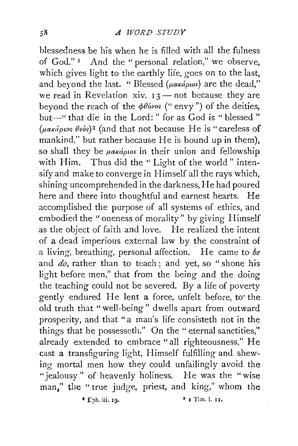blessedness be his when he is filled with all the fulness of God."<sup>I</sup> And the "personal relation," we observe, which gives light to the earthly life, goes on to the last. and beyond the last. "Blessed ( $\mu$ akápioi) are the dead," we read in Revelation xiv.  $13$ -not because they are beyond the reach of the  $\phi\theta_0$ <sub>vos</sub> ("envy") of the deities, but-" that die in the Lord: " for as God is " blessed " (μακάριος θεός)<sup>2</sup> (and that not because He is "careless of mankind," but rather because He is bound up in them), so shall they be *µakápwt* in their union and fellowship with Him. Thus did the "Light of the world" intensify and make to converge in Himself all the rays which, shining uncomprehended in the darkness, He had poured here and there into thoughtful and earnest hearts. He accomplished the purpose of all systems of ethics, and embodied the "oneness of morality" by giving Himself as the object of faith and love. He realized the intent of a dead imperious external law by the constraint of a living, breathing, personal affection. He came to *be*  and *do,* rather than to teach ; and yet, so " shone his light before men," that from the being and the doing the teaching could not be severed. By a life of poverty gently endured He lent a force, unfelt before, to' the old truth that "well-being" dwells apart from outward prosperity, and that "a man's life consisteth not in the things that he possesseth." On the " eternal sanctities," already extended to embrace "all righteousness," He cast a transfiguring light, Himself fulfilling and shewing mortal men how they could unfailingly avoid the "jealousy" of heavenly holiness. He was the "wise man," the " true judge, priest, and king," whom the

 $\bullet$  I Tim. i. 11.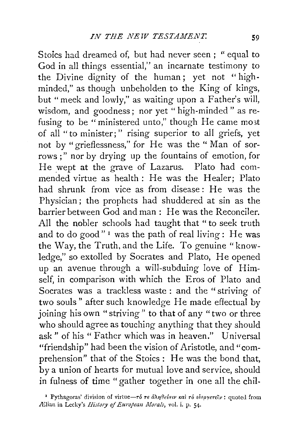Stoics had dreamed of, but had never seen ; " equal to God in all things essential," an incarnate testimony to the Divine dignity of the human; yet not "highminded," as though unbeholden to the King of kings, but "meek and lowly," as waiting upon a Father's will, wisdom, and goodness; nor yet " high-minded " as refusing to be "ministered unto," though He came most of all " to minister; " rising superior to all griefs, yet not by "grieflessness," for He was the " Man of sorrows ;" nor by drying up the fountains of emotion, for He wept at the grave of Lazarus. Plato had commended virtue as health: He was the Healer; Plato had shrunk from vice as from disease: He was the Physician; the prophets had shuddered at sin as the barrier between God and man : He was the Reconciler. All the nobler schools had taught that " to seek truth and to do good"<sup>1</sup> was the path of real living: He was the Way, the Truth, and the Life. To genuine "knowledge," so extolled by Socrates and Plato, He opened up an avenue through a will-subduing love of Himself, in comparison with which the Eros of Plato and Socrates was a trackless waste : and the "striving of two souls" after such knowledge He made effectual by joining his own "striving" to that of any "two or three who should agree as touching anything that they should ask" of his " Father which was in heaven." Universal "friendship" had been the vision of Aristotle, and "comprehension" that of the Stoics: He was the bond that, by a union of hearts for mutual love and service, should in fulness of time "gather together in one all the chil-

<sup>&</sup>lt;sup>1</sup> Pythagoras' division of virtue-τό τε άληθεύειν και τό ευεργετείν: quoted from Allian in Lecky's *History of European Morals*, vol. i. p. 54.